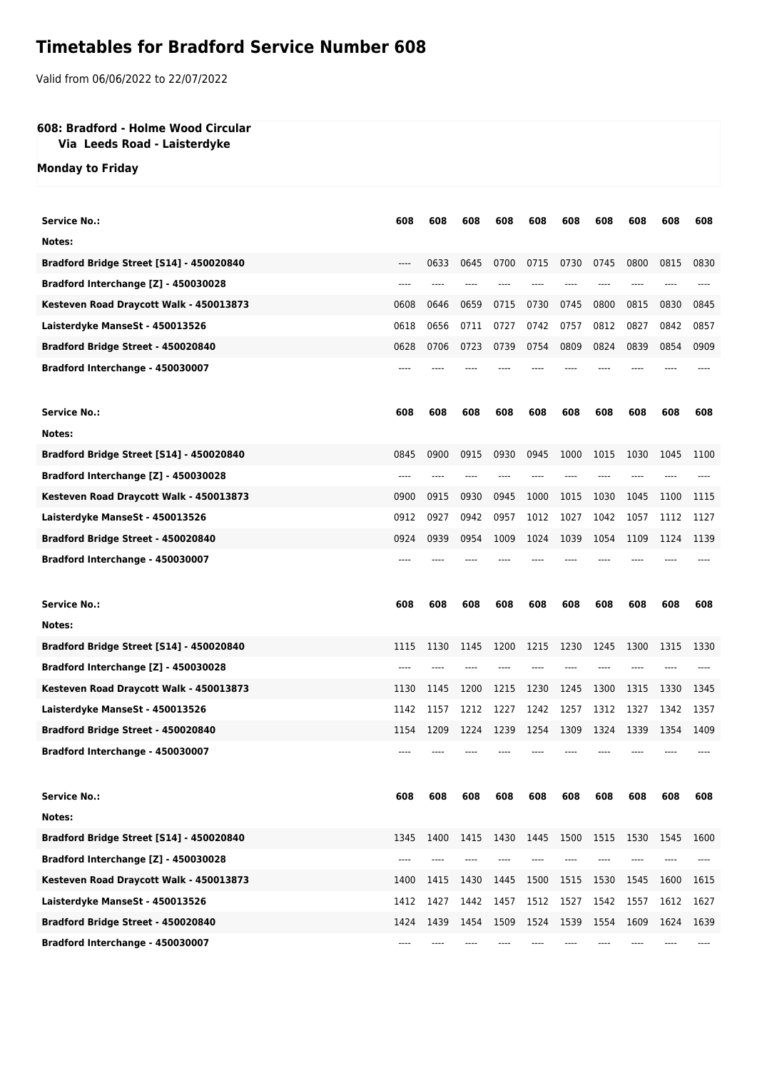## **Timetables for Bradford Service Number 608**

Valid from 06/06/2022 to 22/07/2022

## **608: Bradford - Holme Wood Circular**

## **Via Leeds Road - Laisterdyke**

**Monday to Friday**

| <b>Service No.:</b>                      | 608   | 608  | 608  | 608  | 608  | 608  | 608  | 608  | 608  | 608  |
|------------------------------------------|-------|------|------|------|------|------|------|------|------|------|
| Notes:                                   |       |      |      |      |      |      |      |      |      |      |
| Bradford Bridge Street [S14] - 450020840 | $---$ | 0633 | 0645 | 0700 | 0715 | 0730 | 0745 | 0800 | 0815 | 0830 |
| Bradford Interchange [Z] - 450030028     | ----  |      |      |      |      |      |      |      |      |      |
| Kesteven Road Draycott Walk - 450013873  | 0608  | 0646 | 0659 | 0715 | 0730 | 0745 | 0800 | 0815 | 0830 | 0845 |
| Laisterdyke ManseSt - 450013526          | 0618  | 0656 | 0711 | 0727 | 0742 | 0757 | 0812 | 0827 | 0842 | 0857 |
| Bradford Bridge Street - 450020840       | 0628  | 0706 | 0723 | 0739 | 0754 | 0809 | 0824 | 0839 | 0854 | 0909 |
| Bradford Interchange - 450030007         |       |      |      |      |      |      |      |      |      |      |
| <b>Service No.:</b>                      | 608   | 608  | 608  | 608  | 608  | 608  | 608  | 608  | 608  | 608  |
| Notes:                                   |       |      |      |      |      |      |      |      |      |      |
| Bradford Bridge Street [S14] - 450020840 | 0845  | 0900 | 0915 | 0930 | 0945 | 1000 | 1015 | 1030 | 1045 | 1100 |
| Bradford Interchange [Z] - 450030028     | $---$ |      |      |      |      |      |      |      |      |      |
| Kesteven Road Draycott Walk - 450013873  | 0900  | 0915 | 0930 | 0945 | 1000 | 1015 | 1030 | 1045 | 1100 | 1115 |
| Laisterdyke ManseSt - 450013526          | 0912  | 0927 | 0942 | 0957 | 1012 | 1027 | 1042 | 1057 | 1112 | 1127 |
| Bradford Bridge Street - 450020840       | 0924  | 0939 | 0954 | 1009 | 1024 | 1039 | 1054 | 1109 | 1124 | 1139 |
| Bradford Interchange - 450030007         |       |      |      |      |      |      |      |      |      |      |
|                                          |       |      |      |      |      |      |      |      |      |      |
| <b>Service No.:</b>                      | 608   | 608  | 608  | 608  | 608  | 608  | 608  | 608  | 608  | 608  |
| Notes:                                   |       |      |      |      |      |      |      |      |      |      |
| Bradford Bridge Street [S14] - 450020840 | 1115  | 1130 | 1145 | 1200 | 1215 | 1230 | 1245 | 1300 | 1315 | 1330 |
| Bradford Interchange [Z] - 450030028     |       |      |      |      |      |      |      |      |      |      |
| Kesteven Road Draycott Walk - 450013873  | 1130  | 1145 | 1200 | 1215 | 1230 | 1245 | 1300 | 1315 | 1330 | 1345 |
| Laisterdyke ManseSt - 450013526          | 1142  | 1157 | 1212 | 1227 | 1242 | 1257 | 1312 | 1327 | 1342 | 1357 |
| Bradford Bridge Street - 450020840       | 1154  | 1209 | 1224 | 1239 | 1254 | 1309 | 1324 | 1339 | 1354 | 1409 |
| Bradford Interchange - 450030007         |       |      |      |      |      |      |      |      |      |      |
| <b>Service No.:</b>                      | 608   | 608  | 608  | 608  | 608  | 608  | 608  | 608  | 608  | 608  |
| Notes:                                   |       |      |      |      |      |      |      |      |      |      |
| Bradford Bridge Street [S14] - 450020840 | 1345  | 1400 | 1415 | 1430 | 1445 | 1500 | 1515 | 1530 | 1545 | 1600 |
| Bradford Interchange [Z] - 450030028     | ----  |      |      |      |      |      |      |      |      |      |
| Kesteven Road Draycott Walk - 450013873  | 1400  | 1415 | 1430 | 1445 | 1500 | 1515 | 1530 | 1545 | 1600 | 1615 |
| Laisterdyke ManseSt - 450013526          | 1412  | 1427 | 1442 | 1457 | 1512 | 1527 | 1542 | 1557 | 1612 | 1627 |
| Bradford Bridge Street - 450020840       | 1424  | 1439 | 1454 | 1509 | 1524 | 1539 | 1554 | 1609 | 1624 | 1639 |